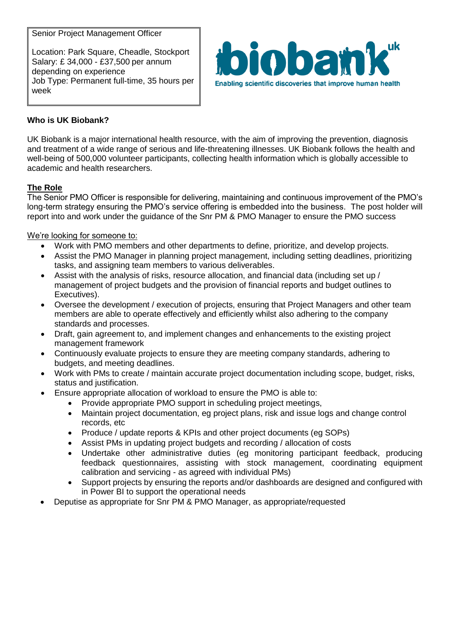Senior Project Management Officer

Location: Park Square, Cheadle, Stockport Salary: £ 34,000 - £37,500 per annum depending on experience Job Type: Permanent full-time, 35 hours per week



# **Who is UK Biobank?**

UK Biobank is a major international health resource, with the aim of improving the prevention, diagnosis and treatment of a wide range of serious and life-threatening illnesses. UK Biobank follows the health and well-being of 500,000 volunteer participants, collecting health information which is globally accessible to academic and health researchers.

## **The Role**

The Senior PMO Officer is responsible for delivering, maintaining and continuous improvement of the PMO's long-term strategy ensuring the PMO's service offering is embedded into the business. The post holder will report into and work under the guidance of the Snr PM & PMO Manager to ensure the PMO success

## We're looking for someone to:

- Work with PMO members and other departments to define, prioritize, and develop projects.
- Assist the PMO Manager in planning project management, including setting deadlines, prioritizing tasks, and assigning team members to various deliverables.
- Assist with the analysis of risks, resource allocation, and financial data (including set up / management of project budgets and the provision of financial reports and budget outlines to Executives).
- Oversee the development / execution of projects, ensuring that Project Managers and other team members are able to operate effectively and efficiently whilst also adhering to the company standards and processes.
- Draft, gain agreement to, and implement changes and enhancements to the existing project management framework
- Continuously evaluate projects to ensure they are meeting company standards, adhering to budgets, and meeting deadlines.
- Work with PMs to create / maintain accurate project documentation including scope, budget, risks, status and justification.
	- Ensure appropriate allocation of workload to ensure the PMO is able to:
		- Provide appropriate PMO support in scheduling project meetings,
		- Maintain project documentation, eg project plans, risk and issue logs and change control records, etc
		- Produce / update reports & KPIs and other project documents (eg SOPs)
		- Assist PMs in updating project budgets and recording / allocation of costs
		- Undertake other administrative duties (eg monitoring participant feedback, producing feedback questionnaires, assisting with stock management, coordinating equipment calibration and servicing - as agreed with individual PMs)
		- Support projects by ensuring the reports and/or dashboards are designed and configured with in Power BI to support the operational needs
- Deputise as appropriate for Snr PM & PMO Manager, as appropriate/requested